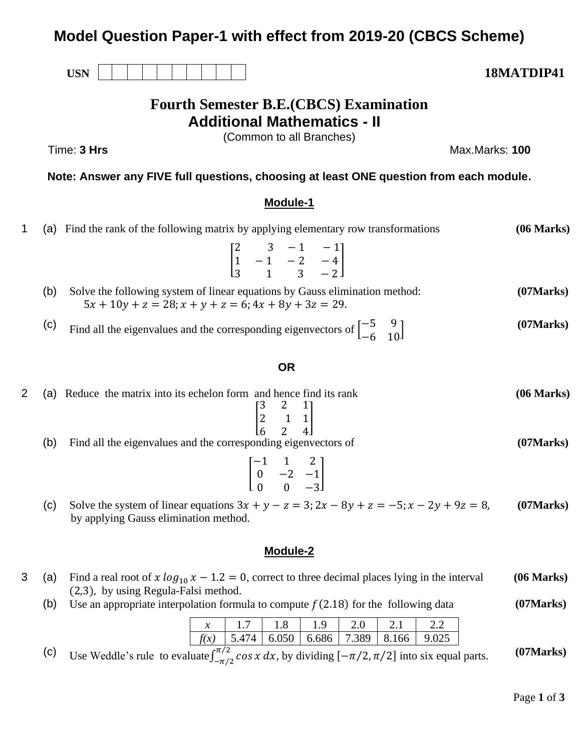# **Model Question Paper-1 with effect from 2019-20 (CBCS Scheme)**

# **Fourth Semester B.E.(CBCS) Examination Additional Mathematics - II**

(Common to all Branches)

Time: **3 Hrs** Max.Marks: **100**

**Note: Answer any FIVE full questions, choosing at least ONE question from each module.**

## **Module-1**

|     | (a) Find the rank of the following matrix by applying elementary row transformations                                                         | (06 Marks) |
|-----|----------------------------------------------------------------------------------------------------------------------------------------------|------------|
|     | $\begin{bmatrix} 2 & 3 & -1 & -1 \\ 1 & -1 & -2 & -4 \\ 3 & 1 & 3 & -2 \end{bmatrix}$                                                        |            |
| (b) | Solve the following system of linear equations by Gauss elimination method:<br>$5x + 10y + z = 28$ ; $x + y + z = 6$ ; $4x + 8y + 3z = 29$ . | (07 Marks) |
| (C) | Find all the eigenvalues and the corresponding eigenvectors of $\begin{bmatrix} -5 & 9 \\ -6 & 10 \end{bmatrix}$                             | (07 Marks) |

## **OR**

| (a) Reduce the matrix into its echelon form and hence find its rank                                                                          | (06 Marks) |
|----------------------------------------------------------------------------------------------------------------------------------------------|------------|
| $\begin{bmatrix} 3 & 2 & 1 \\ 2 & 1 & 1 \\ 6 & 2 & 4 \end{bmatrix}$<br>(b)<br>Find all the eigenvalues and the corresponding eigenvectors of | (07 Marks) |
| $\begin{bmatrix} -1 & 1 & 2 \\ 0 & -2 & -1 \end{bmatrix}$                                                                                    |            |

(c) Solve the system of linear equations  $3x + y - z = 3$ ;  $2x - 8y + z = -5$ ;  $x - 2y + 9z = 8$ , by applying Gauss elimination method. **(07Marks)**

## **Module-2**

 $0 \t 0 \t -3$ 

- 3 (a) Find a real root of  $x \log_{10} x 1.2 = 0$ , correct to three decimal places lying in the interval (2,3), by using Regula-Falsi method. **(06 Marks)**
	- (b) Use an appropriate interpolation formula to compute  $f(2.18)$  for the following data **(07Marks)**

|  |  | $\sim$ 1.8 $\sim$ | $1.9 -$ |  | $\rightarrow$ $\rightarrow$ $\rightarrow$                                                 |  |
|--|--|-------------------|---------|--|-------------------------------------------------------------------------------------------|--|
|  |  |                   |         |  | $\mid$ f(x) $\mid$ 5.474 $\mid$ 6.050 $\mid$ 6.686 $\mid$ 7.389 $\mid$ 8.166 $\mid$ 9.025 |  |
|  |  |                   |         |  |                                                                                           |  |

(c) Use Weddle's rule to evaluate  $\int_{-\pi/2}^{\pi/2} \cos x \, dx$ , by dividing  $[-\pi/2, \pi/2]$  into six equal parts. **(07Marks)**

USN | | | | | | | | | | **18MATDIP41**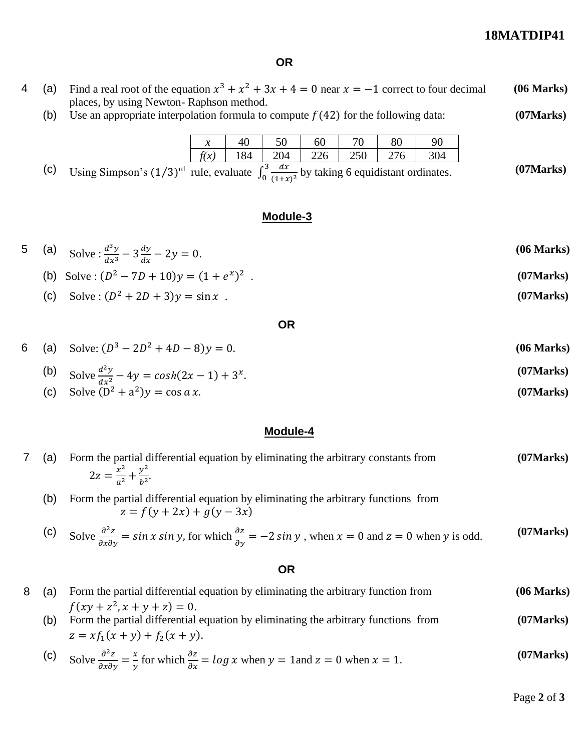## **18MATDIP41**

**(07Marks)**

**(07Marks)**

## **OR**

- 4 (a) Find a real root of the equation  $x^3 + x^2 + 3x + 4 = 0$  near  $x = -1$  correct to four decimal places, by using Newton- Raphson method. **(06 Marks)**
	- (b) Use an appropriate interpolation formula to compute  $f(42)$  for the following data:

| $\mathcal{X}$             |    | 50                           | 60  |     | 80 |     |
|---------------------------|----|------------------------------|-----|-----|----|-----|
| $\mathbf{v}$<br>$\lambda$ | 84 | 204                          | 226 | 250 |    | 304 |
|                           |    | $\overline{a}$<br>$\sqrt{2}$ |     |     |    |     |

(c) Using Simpson's  $(1/3)^{rd}$  rule, evaluate  $\int_0^3 \frac{dx}{(1+x)^{rd}}$  $(1+x)^2$ 3  $\int_0^5 \frac{dx}{(1+x)^2}$  by taking 6 equidistant ordinates.

### **Module-3**

5 (a) Solve: 
$$
\frac{d^3y}{dx^3} - 3\frac{dy}{dx} - 2y = 0
$$
. (06 Marks)

(b) Solve: 
$$
(D^2 - 7D + 10)y = (1 + e^x)^2
$$
. (07 Marks)

(c) Solve: 
$$
(D^2 + 2D + 3)y = \sin x
$$
. (07 Marks)

#### **OR**

6 (a) Solve: 
$$
(D^3 - 2D^2 + 4D - 8)y = 0
$$
. (06 Marks)

(b) Solve 
$$
\frac{d^2y}{dx^2} - 4y = \cosh(2x - 1) + 3^x
$$
. (07 Marks)

(c) Solve 
$$
(D^2 + a^2)y = \cos a x
$$
. (07 Marks)

#### **Module-4**

|  | 7 (a) Form the partial differential equation by eliminating the arbitrary constants from | (07 Marks) |
|--|------------------------------------------------------------------------------------------|------------|
|  | $2z = \frac{x^2}{a^2} + \frac{y^2}{b^2}$ .                                               |            |

(b) Form the partial differential equation by eliminating the arbitrary functions from  $z = f(y + 2x) + g(y - 3x)$ 

(c) Solve 
$$
\frac{\partial^2 z}{\partial x \partial y} = \sin x \sin y
$$
, for which  $\frac{\partial z}{\partial y} = -2 \sin y$ , when  $x = 0$  and  $z = 0$  when y is odd. (07 Marks)

### **OR**

(a) Form the partial differential equation by eliminating the arbitrary function from

\n(06 Marks)

\n
$$
f(xy + z^2, x + y + z) = 0.
$$

\n(b) Form the partial differential equation by eliminating the arbitrary functions from

\n(07 Marks)

(b) Form the partial differential equation by eliminating the arbitrary functions from  $z = xf_1(x + y) + f_2(x + y).$ **(07Marks)**

(c) Solve 
$$
\frac{\partial^2 z}{\partial x \partial y} = \frac{x}{y}
$$
 for which  $\frac{\partial z}{\partial x} = \log x$  when  $y = 1$  and  $z = 0$  when  $x = 1$ . (07 Marks)